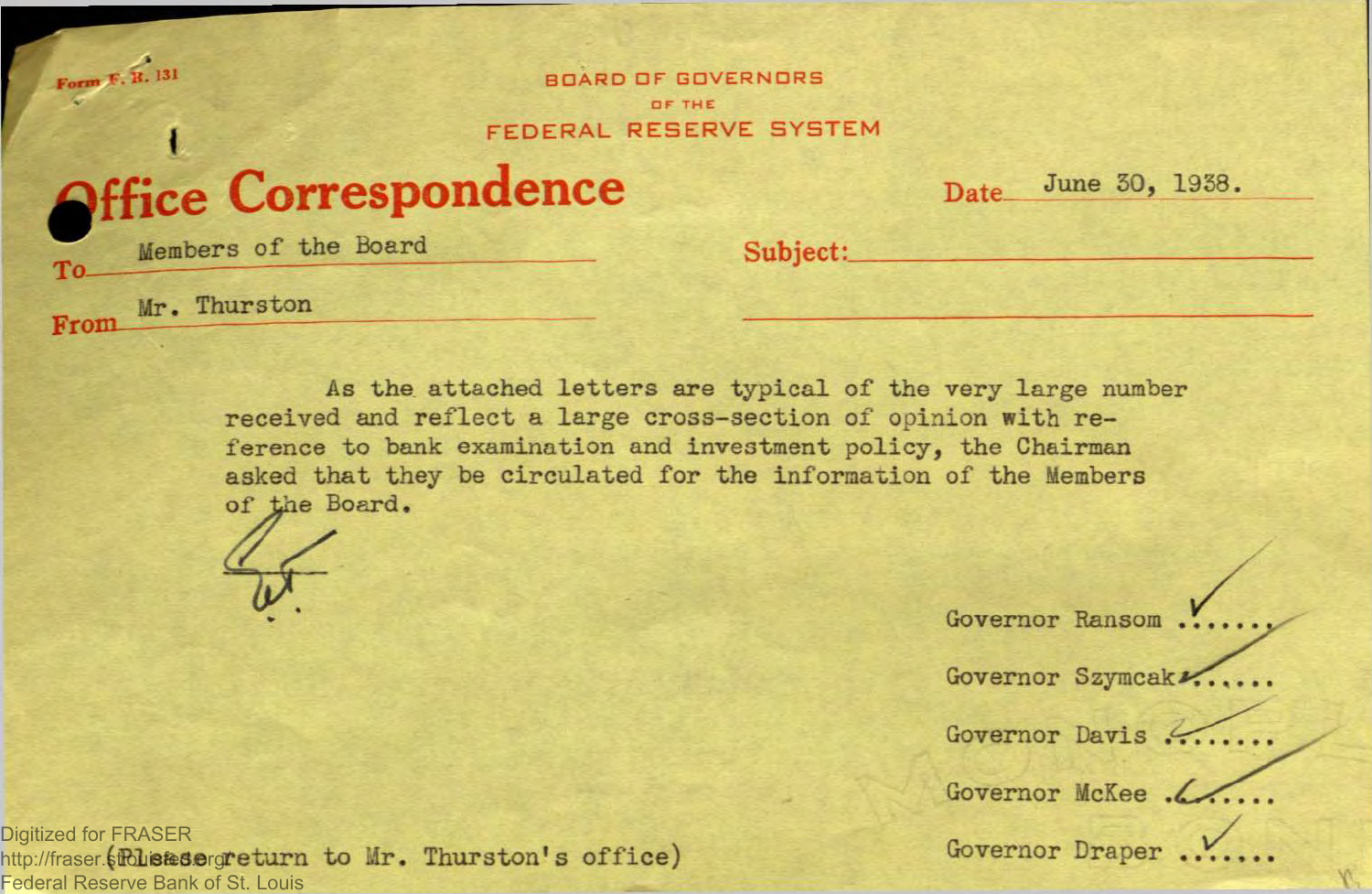Form F. R. 131 BOARD OF GOVERNORS OF THE *EXECUTE A LITTLE CONTROL RESERVE SYSTEM* 

**ffice Correspondence Date-**

 $\frac{5}{100}$  June 30, 1938.

To Members of the Board

**Mr.** Thurston

From

Subject:

As the attached letters are typical of the very large number received and reflect a large cross-section of opinion with reference to bank examination and investment policy, the Chairman asked that they be circulated for the information of the Members of the Board.

Governor Ransom ...

Governor Szymcak .....

Governor Davis ......

Governor McKee .

Digitized for FRASER<br>http://fraser.\$**fblistes.e**rg**return to Mr. Thurston's office**) Governor Draper ..... Digitized for FRASER Federal Reserve Bank of St. Louis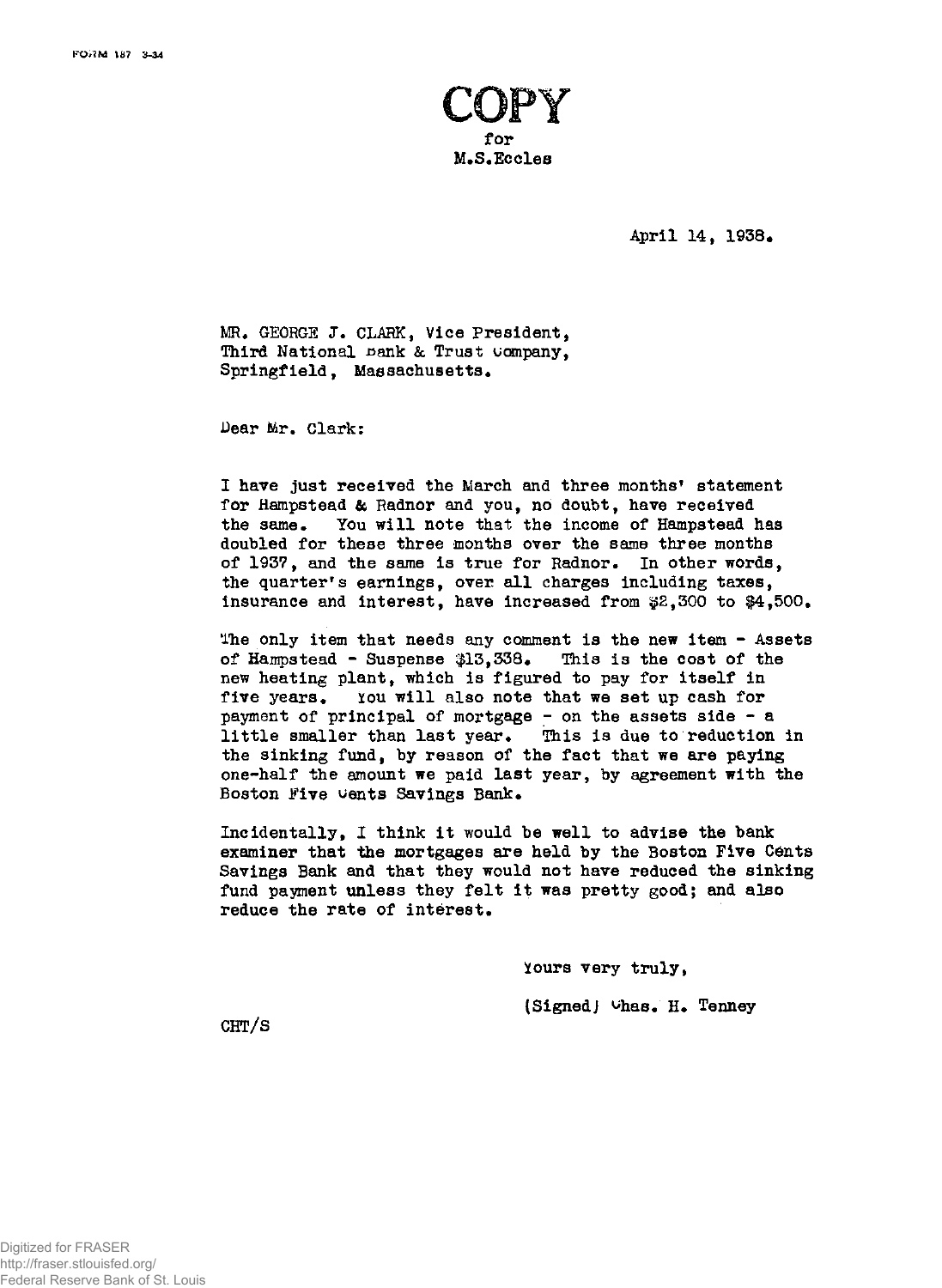

**April 14, 1938•** 

**MR. GEORGE J. CLARK, Vice President, Third National sank & Trust company, Springfield, Massachusetts.** 

**Dear Mr. Clark:** 

**I have just received the March and three months<sup>1</sup> statement for Hampstead & Radnor and you, no doubt, have received the same. You will note that the income of Hampstead has doubled for these three months over the same three months of 1937, and the same is true for Radnor. In other words, the quarter's earnings, over all charges including taxes, insurance and interest, have increased from \$2,300 to \$4,500.** 

**The only item that needs any comment is the new item - Assets of Hampstead - Suspense \$13,338. This is the cost of the new heating plant, which is figured to pay for itself in five years.** *xou* **will also note that we set up cash for payment of principal of mortgage - on the assets side - a little smaller than last year. This is due to reduction in the sinking fund, by reason of the fact that we are paying one-half the amount we paid last year, by agreement with the Boston Five wents Savings Bank.** 

**Incidentally, I think it would be well to advise the bank examiner that the mortgages are held by the Boston Five Cents Savings Bank and that they would not have reduced the sinking fund payment unless they felt it was pretty good; and also reduce the rate of interest.** 

> **¥ours very truly, (SignedJ ^has. H. Tenney**

**CHT/S**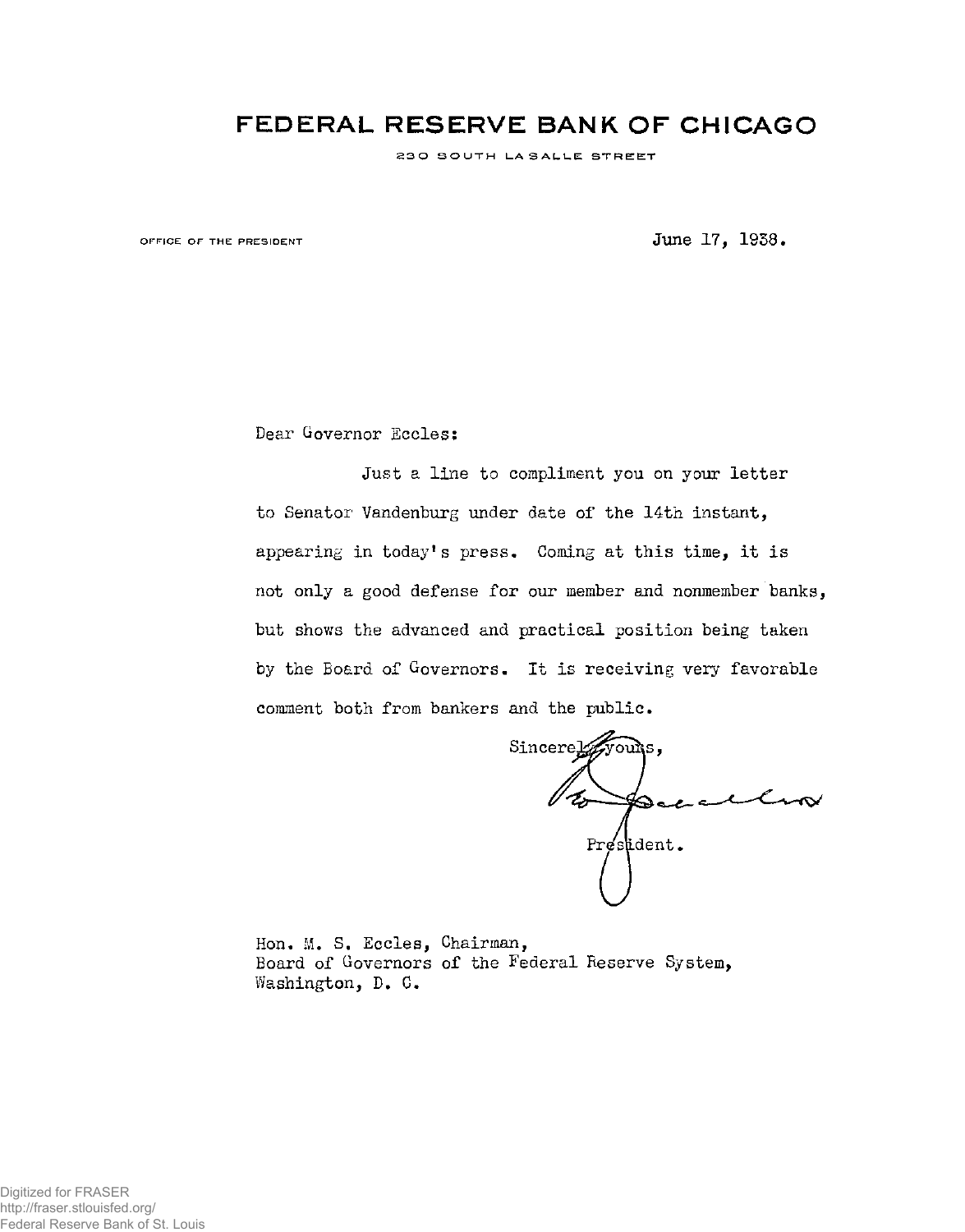## **FEDERAL RESERVE BANK OF CHICAGO**

230 SOUTH LASALLE STREET

OFFICE OF THE PRESIDENT **STATE ASSAULT ASSESSMENT** STATE 1958.

Dear Governor Eccles:

Just a line to compliment you on your letter to Senator Vandenburg under date of the 14th instant, appearing in today's press. Coming at this time, it is not only a good defense for our member and nonmember banks, but shows the advanced and practical position being taken by the Board of Governors. It is receiving very favorable comment both from bankers and the public.

Sincere Lyvours  $\mathscr{U}_{\mathscr{E}}$  $\blacktriangleright$  act a President.

Hon. M. S. Eccles, Chairman, Board of Governors of the Federal Reserve System, Washington, D. C.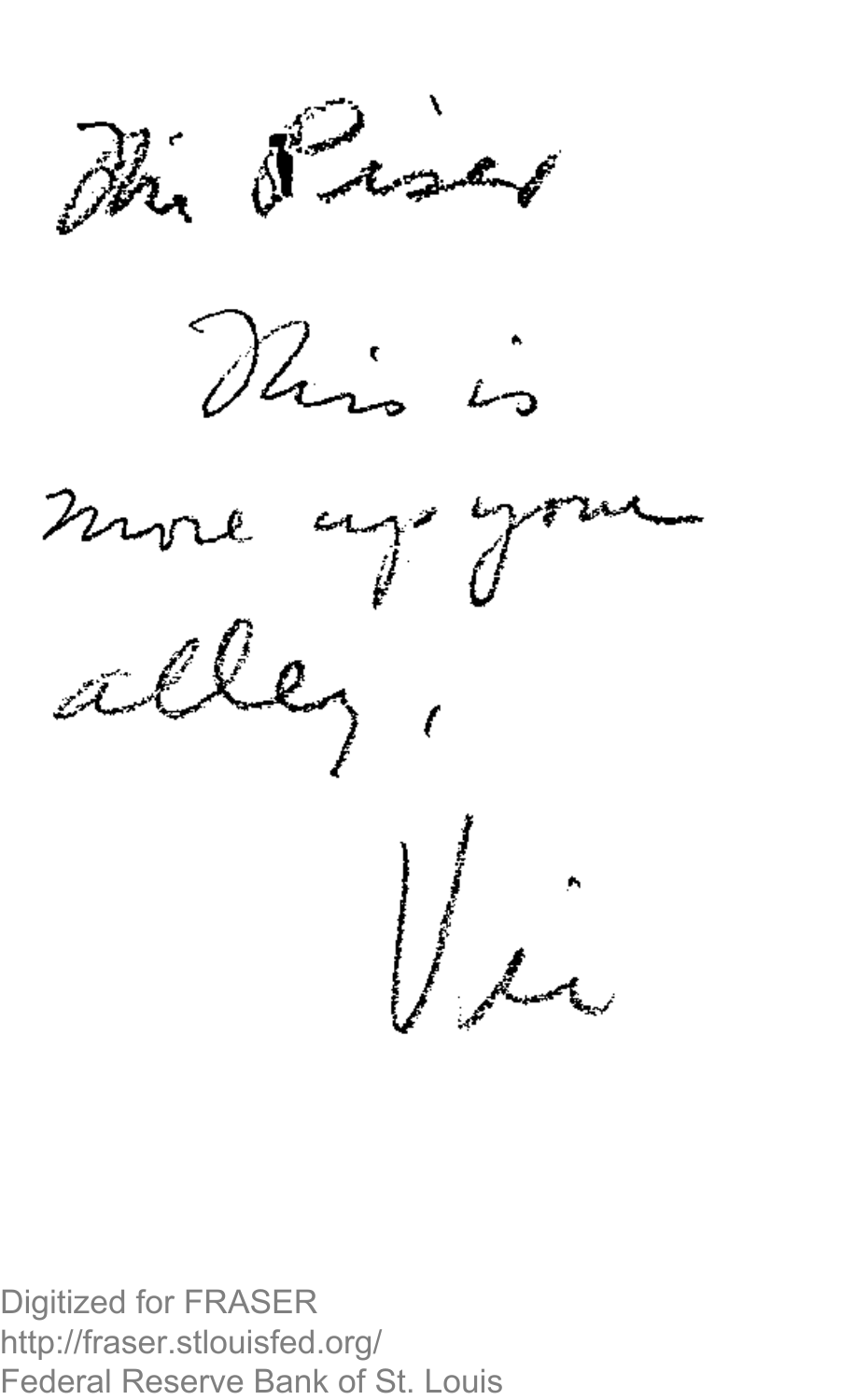





Digitized for FRASER http://fraser.stlouisfed.org/ Federal Reserve Bank of St. Louis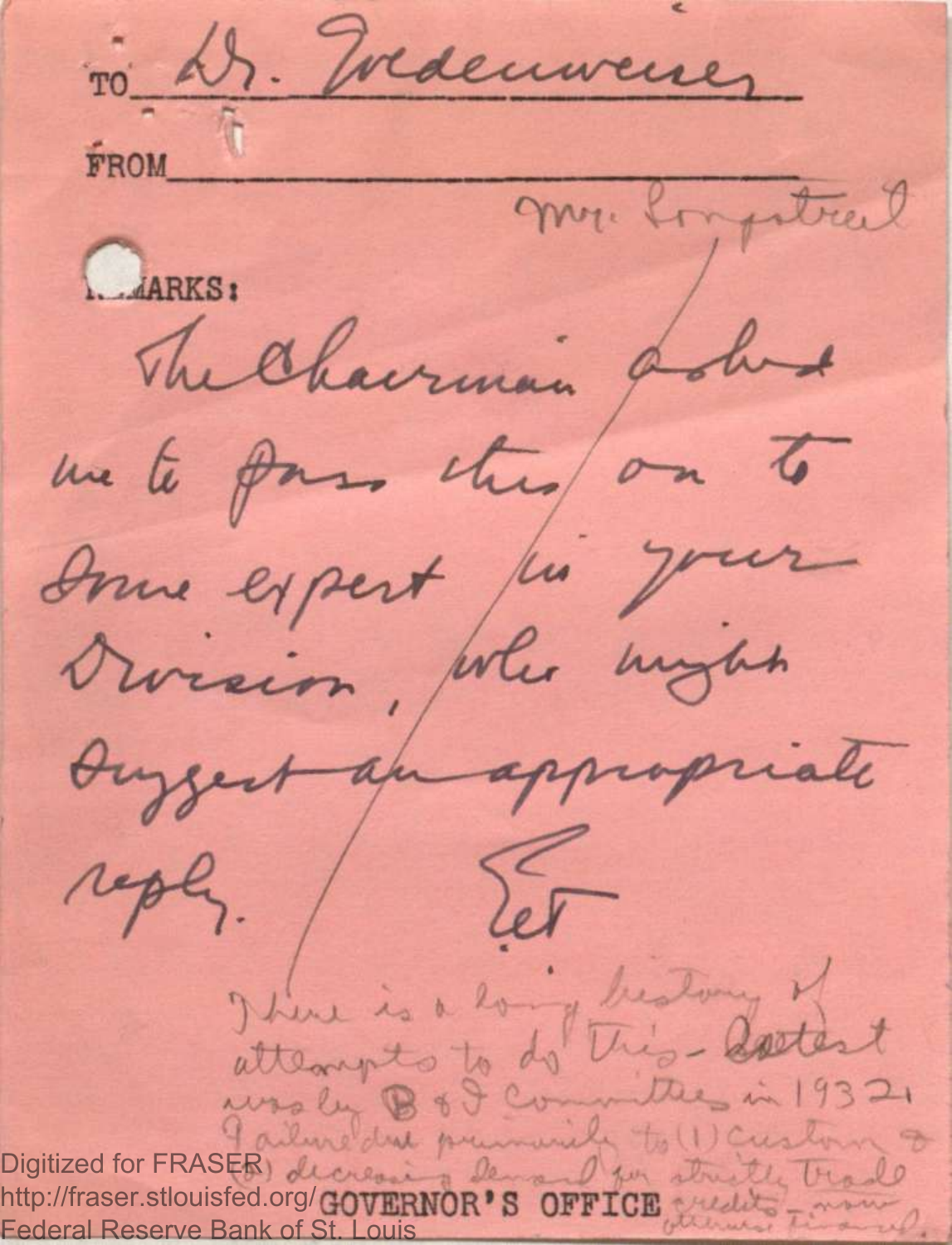ro Dr. Iredenwener FROM I mr. longstral LARKS: The Chairman poles un to pass this on to Down expert for your Division, who mythe Duggest an appropriate reply. Set There is a long bestony of attempts to do this- astert wasley B & J Committees in 19321 I ailuredue premier to (1) Custom 8 Digitized for FRASEB) decrease & demand for structle trade http://fraser.stlouisfed.org/GOVERNOR'S OFFICE Medito - mount Federal Reserve Bank of St. Louis